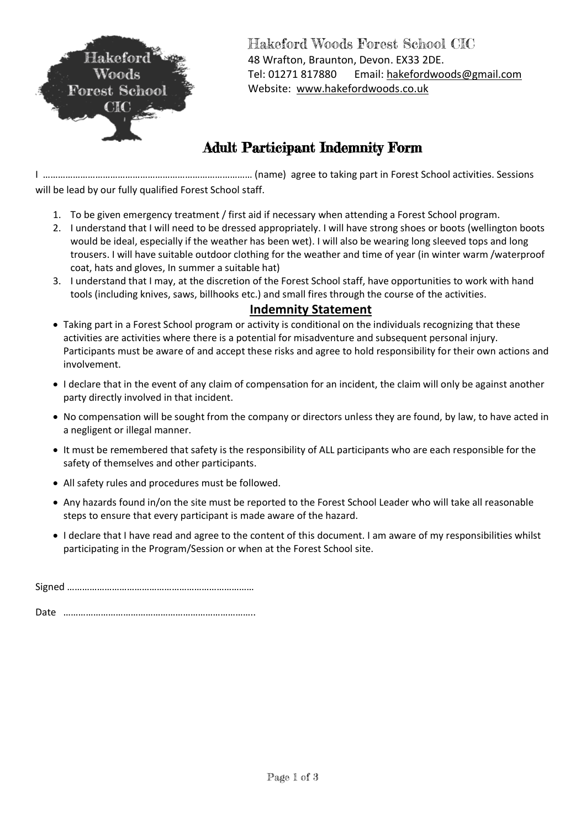

Hakeford Woods Forest School CIC 48 Wrafton, Braunton, Devon. EX33 2DE. Tel: 01271 817880 Email[: hakefordwoods@gmail.com](mailto:hakefordwoods@gmail.com) Website: [www.hakefordwoods.co.uk](http://www.hakefordwoods.co.uk/)

## Adult Participant Indemnity Form

I ………………………………………………………………………… (name) agree to taking part in Forest School activities. Sessions will be lead by our fully qualified Forest School staff.

- 1. To be given emergency treatment / first aid if necessary when attending a Forest School program.
- 2. I understand that I will need to be dressed appropriately. I will have strong shoes or boots (wellington boots would be ideal, especially if the weather has been wet). I will also be wearing long sleeved tops and long trousers. I will have suitable outdoor clothing for the weather and time of year (in winter warm /waterproof coat, hats and gloves, In summer a suitable hat)
- 3. I understand that I may, at the discretion of the Forest School staff, have opportunities to work with hand tools (including knives, saws, billhooks etc.) and small fires through the course of the activities.

## **Indemnity Statement**

- Taking part in a Forest School program or activity is conditional on the individuals recognizing that these activities are activities where there is a potential for misadventure and subsequent personal injury. Participants must be aware of and accept these risks and agree to hold responsibility for their own actions and involvement.
- I declare that in the event of any claim of compensation for an incident, the claim will only be against another party directly involved in that incident.
- No compensation will be sought from the company or directors unless they are found, by law, to have acted in a negligent or illegal manner.
- It must be remembered that safety is the responsibility of ALL participants who are each responsible for the safety of themselves and other participants.
- All safety rules and procedures must be followed.
- Any hazards found in/on the site must be reported to the Forest School Leader who will take all reasonable steps to ensure that every participant is made aware of the hazard.
- I declare that I have read and agree to the content of this document. I am aware of my responsibilities whilst participating in the Program/Session or when at the Forest School site.

Signed …………………………………………………………………

Date …………………………………………………………………..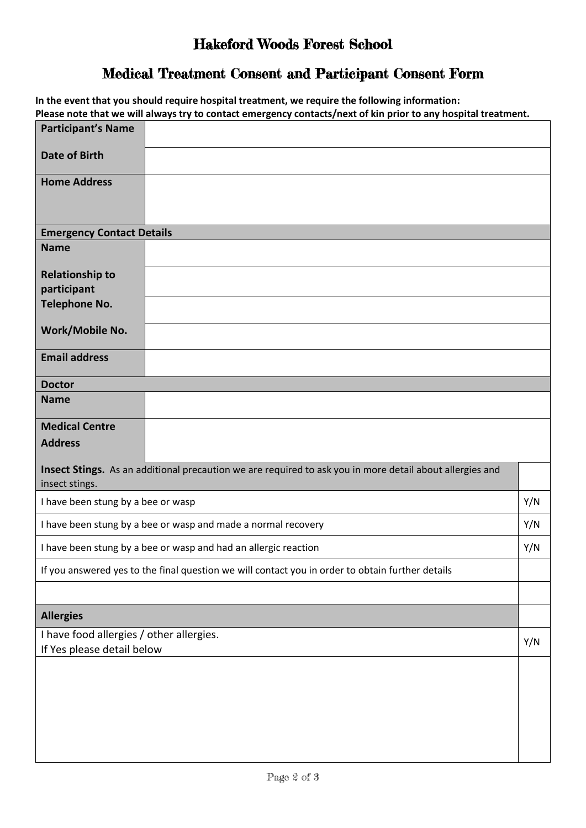## Hakeford Woods Forest School

## Medical Treatment Consent and Participant Consent Form

|                                                                        | In the event that you should require hospital treatment, we require the following information:<br>Please note that we will always try to contact emergency contacts/next of kin prior to any hospital treatment. |     |
|------------------------------------------------------------------------|------------------------------------------------------------------------------------------------------------------------------------------------------------------------------------------------------------------|-----|
| <b>Participant's Name</b>                                              |                                                                                                                                                                                                                  |     |
| <b>Date of Birth</b>                                                   |                                                                                                                                                                                                                  |     |
| <b>Home Address</b>                                                    |                                                                                                                                                                                                                  |     |
| <b>Emergency Contact Details</b>                                       |                                                                                                                                                                                                                  |     |
| <b>Name</b>                                                            |                                                                                                                                                                                                                  |     |
| <b>Relationship to</b><br>participant                                  |                                                                                                                                                                                                                  |     |
| <b>Telephone No.</b>                                                   |                                                                                                                                                                                                                  |     |
| Work/Mobile No.                                                        |                                                                                                                                                                                                                  |     |
| <b>Email address</b>                                                   |                                                                                                                                                                                                                  |     |
| <b>Doctor</b>                                                          |                                                                                                                                                                                                                  |     |
| <b>Name</b>                                                            |                                                                                                                                                                                                                  |     |
| <b>Medical Centre</b>                                                  |                                                                                                                                                                                                                  |     |
| <b>Address</b>                                                         |                                                                                                                                                                                                                  |     |
| insect stings.                                                         | Insect Stings. As an additional precaution we are required to ask you in more detail about allergies and                                                                                                         |     |
| I have been stung by a bee or wasp                                     |                                                                                                                                                                                                                  | Y/N |
| I have been stung by a bee or wasp and made a normal recovery          |                                                                                                                                                                                                                  | Y/N |
|                                                                        | I have been stung by a bee or wasp and had an allergic reaction                                                                                                                                                  |     |
|                                                                        | If you answered yes to the final question we will contact you in order to obtain further details                                                                                                                 |     |
| <b>Allergies</b>                                                       |                                                                                                                                                                                                                  |     |
|                                                                        |                                                                                                                                                                                                                  |     |
| I have food allergies / other allergies.<br>If Yes please detail below |                                                                                                                                                                                                                  | Y/N |
|                                                                        |                                                                                                                                                                                                                  |     |
|                                                                        |                                                                                                                                                                                                                  |     |
|                                                                        |                                                                                                                                                                                                                  |     |
|                                                                        |                                                                                                                                                                                                                  |     |
|                                                                        |                                                                                                                                                                                                                  |     |